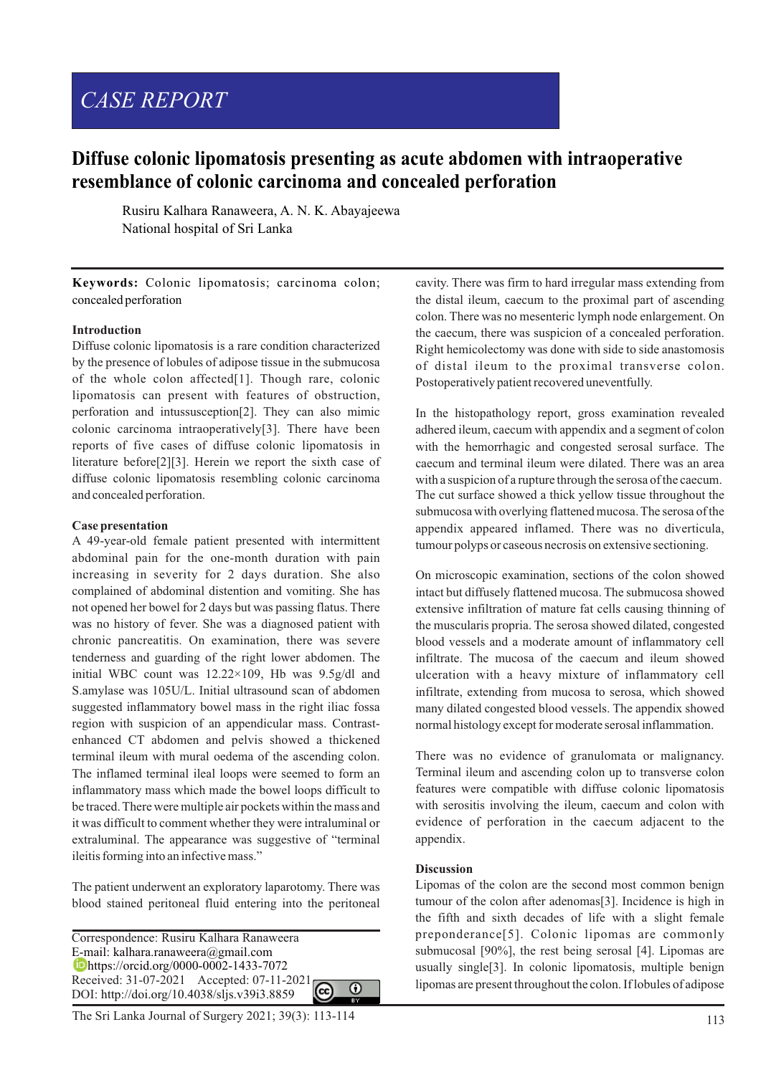# *CASE REPORT*

# **Diffuse colonic lipomatosis presenting as acute abdomen with intraoperative resemblance of colonic carcinoma and concealed perforation**

Rusiru Kalhara Ranaweera, A. N. K. Abayajeewa National hospital of Sri Lanka

**Keywords:** Colonic lipomatosis; carcinoma colon; concealed perforation

#### **Introduction**

Diffuse colonic lipomatosis is a rare condition characterized by the presence of lobules of adipose tissue in the submucosa of the whole colon affected[1]. Though rare, colonic lipomatosis can present with features of obstruction, perforation and intussusception[2]. They can also mimic colonic carcinoma intraoperatively[3]. There have been reports of five cases of diffuse colonic lipomatosis in literature before[2][3]. Herein we report the sixth case of diffuse colonic lipomatosis resembling colonic carcinoma and concealed perforation.

### **Case presentation**

A 49-year-old female patient presented with intermittent abdominal pain for the one-month duration with pain increasing in severity for 2 days duration. She also complained of abdominal distention and vomiting. She has not opened her bowel for 2 days but was passing flatus. There was no history of fever. She was a diagnosed patient with chronic pancreatitis. On examination, there was severe tenderness and guarding of the right lower abdomen. The initial WBC count was 12.22×109, Hb was 9.5g/dl and S.amylase was 105U/L. Initial ultrasound scan of abdomen suggested inflammatory bowel mass in the right iliac fossa region with suspicion of an appendicular mass. Contrastenhanced CT abdomen and pelvis showed a thickened terminal ileum with mural oedema of the ascending colon. The inflamed terminal ileal loops were seemed to form an inflammatory mass which made the bowel loops difficult to be traced. There were multiple air pockets within the mass and it was difficult to comment whether they were intraluminal or extraluminal. The appearance was suggestive of "terminal ileitis forming into an infective mass."

The patient underwent an exploratory laparotomy. There was blood stained peritoneal fluid entering into the peritoneal

Correspondence: Rusiru Kalhara Ranaweera E-mail: kalhara.ranaweera@gmail.com https://orcid.org/0000-0002-1433-7072 Received: 31-07-2021 Accepted: 07-11-2021  $\Omega$ DOI: http://doi.org/10.4038/sljs.v39i3.8859

113 The Sri Lanka Journal of Surgery 2021; 39(3): 113-114

cavity. There was firm to hard irregular mass extending from the distal ileum, caecum to the proximal part of ascending colon. There was no mesenteric lymph node enlargement. On the caecum, there was suspicion of a concealed perforation. Right hemicolectomy was done with side to side anastomosis of distal ileum to the proximal transverse colon. Postoperatively patient recovered uneventfully.

In the histopathology report, gross examination revealed adhered ileum, caecum with appendix and a segment of colon with the hemorrhagic and congested serosal surface. The caecum and terminal ileum were dilated. There was an area with a suspicion of a rupture through the serosa of the caecum. The cut surface showed a thick yellow tissue throughout the submucosa with overlying flattened mucosa. The serosa of the appendix appeared inflamed. There was no diverticula, tumour polyps or caseous necrosis on extensive sectioning.

On microscopic examination, sections of the colon showed intact but diffusely flattened mucosa. The submucosa showed extensive infiltration of mature fat cells causing thinning of the muscularis propria. The serosa showed dilated, congested blood vessels and a moderate amount of inflammatory cell infiltrate. The mucosa of the caecum and ileum showed ulceration with a heavy mixture of inflammatory cell infiltrate, extending from mucosa to serosa, which showed many dilated congested blood vessels. The appendix showed normal histology except for moderate serosal inflammation.

There was no evidence of granulomata or malignancy. Terminal ileum and ascending colon up to transverse colon features were compatible with diffuse colonic lipomatosis with serositis involving the ileum, caecum and colon with evidence of perforation in the caecum adjacent to the appendix.

#### **Discussion**

Lipomas of the colon are the second most common benign tumour of the colon after adenomas[3]. Incidence is high in the fifth and sixth decades of life with a slight female preponderance[5]. Colonic lipomas are commonly submucosal [90%], the rest being serosal [4]. Lipomas are usually single[3]. In colonic lipomatosis, multiple benign lipomas are present throughout the colon. If lobules of adipose